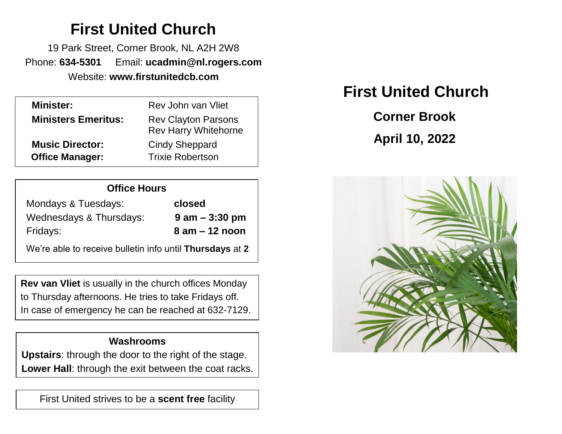# **First United Church**

19 Park Street, Corner Brook, NL A2H 2W8 Phone: **634-5301** Email: **ucadmin@nl.rogers.com** Website: **www.firstunitedcb.com**

| <b>Minister:</b>           | Rev John van Vliet                                        |
|----------------------------|-----------------------------------------------------------|
| <b>Ministers Emeritus:</b> | <b>Rev Clayton Parsons</b><br><b>Rev Harry Whitehorne</b> |
| <b>Music Director:</b>     | <b>Cindy Sheppard</b>                                     |
| <b>Office Manager:</b>     | <b>Trixie Robertson</b>                                   |
|                            |                                                           |

| <b>Office Hours</b>     |                   |  |
|-------------------------|-------------------|--|
| Mondays & Tuesdays:     | closed            |  |
| Wednesdays & Thursdays: | $9$ am $-3:30$ pm |  |
| Fridays:                | $8$ am $-12$ noon |  |
|                         |                   |  |

We're able to receive bulletin info until **Thursdays** at **2**

**Rev van Vliet** is usually in the church offices Monday to Thursday afternoons. He tries to take Fridays off. In case of emergency he can be reached at 632-7129.

### **Washrooms**

**Upstairs**: through the door to the right of the stage. **Lower Hall**: through the exit between the coat racks.

First United strives to be a **scent free** facility

# **First United Church**

 **Corner Brook April 10, 2022**

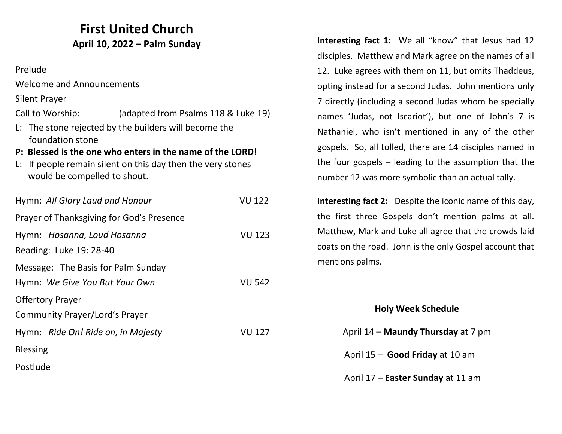## **First United Church April 10, 2022 – Palm Sunday**

Prelude

Welcome and Announcements

Silent Prayer

Call to Worship: (adapted from Psalms 118 & Luke 19)

- L: The stone rejected by the builders will become the foundation stone
- **P: Blessed is the one who enters in the name of the LORD!**
- L: If people remain silent on this day then the very stones would be compelled to shout.

| Hymn: All Glory Laud and Honour                        | VU 122        |
|--------------------------------------------------------|---------------|
| Prayer of Thanksgiving for God's Presence              |               |
| Hymn: Hosanna, Loud Hosanna<br>Reading: Luke 19: 28-40 | <b>VU 123</b> |
| Message: The Basis for Palm Sunday                     |               |
| Hymn: We Give You But Your Own                         | <b>VU 542</b> |
| <b>Offertory Prayer</b>                                |               |
| Community Prayer/Lord's Prayer                         |               |
| Hymn: Ride On! Ride on, in Majesty                     | VU 127        |
| <b>Blessing</b>                                        |               |
| Postlude                                               |               |

**Interesting fact 1:** We all "know" that Jesus had 12 disciples. Matthew and Mark agree on the names of all 12. Luke agrees with them on 11, but omits Thaddeus, opting instead for a second Judas. John mentions only 7 directly (including a second Judas whom he specially names 'Judas, not Iscariot'), but one of John's 7 is Nathaniel, who isn't mentioned in any of the other gospels. So, all tolled, there are 14 disciples named in the four gospels – leading to the assumption that the number 12 was more symbolic than an actual tally.

**Interesting fact 2:** Despite the iconic name of this day, the first three Gospels don't mention palms at all. Matthew, Mark and Luke all agree that the crowds laid coats on the road. John is the only Gospel account that mentions palms.

#### **Holy Week Schedule**

| April 14 – Maundy Thursday at 7 pm |
|------------------------------------|
| April 15 - Good Friday at 10 am    |
| April 17 – Easter Sunday at 11 am  |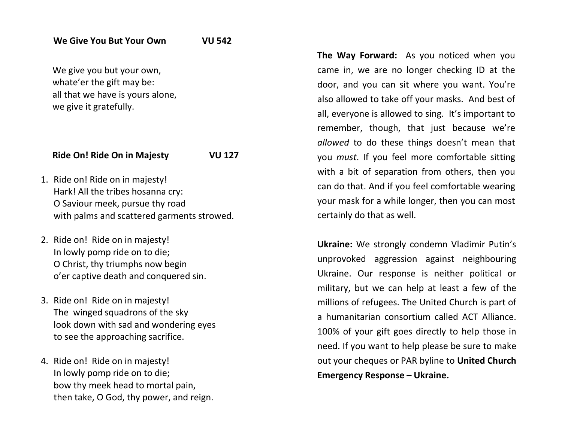We give you but your own, whate'er the gift may be: all that we have is yours alone, we give it gratefully.

#### **Ride On! Ride On in Majesty VU 127**

- 1. Ride on! Ride on in majesty! Hark! All the tribes hosanna cry: O Saviour meek, pursue thy road with palms and scattered garments strowed.
- 2. Ride on! Ride on in majesty! In lowly pomp ride on to die; O Christ, thy triumphs now begin o'er captive death and conquered sin.
- 3. Ride on! Ride on in majesty! The winged squadrons of the sky look down with sad and wondering eyes to see the approaching sacrifice.
- 4. Ride on! Ride on in majesty! In lowly pomp ride on to die; bow thy meek head to mortal pain, then take, O God, thy power, and reign.

**The Way Forward:** As you noticed when you came in, we are no longer checking ID at the door, and you can sit where you want. You're also allowed to take off your masks. And best of all, everyone is allowed to sing. It's important to remember, though, that just because we're *allowed* to do these things doesn't mean that you *must*. If you feel more comfortable sitting with a bit of separation from others, then you can do that. And if you feel comfortable wearing your mask for a while longer, then you can most certainly do that as well.

**Ukraine:** We strongly condemn Vladimir Putin's unprovoked aggression against neighbouring Ukraine. Our response is neither political or military, but we can help at least a few of the millions of refugees. The United Church is part of a humanitarian consortium called ACT Alliance. 100% of your gift goes directly to help those in need. If you want to help please be sure to make out your cheques or PAR byline to **United Church Emergency Response – Ukraine.**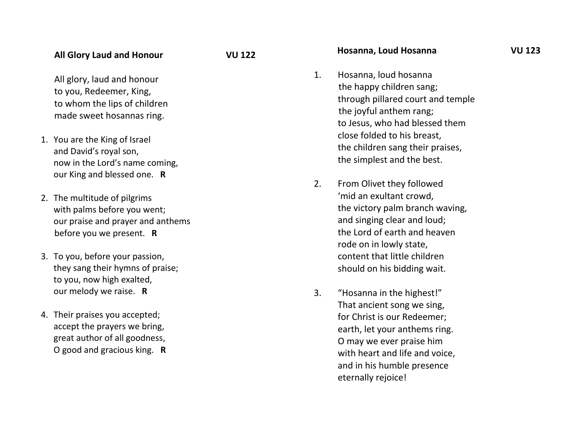All glory, laud and honour to you, Redeemer, King, to whom the lips of children made sweet hosannas ring.

- 1. You are the King of Isra el and David's royal son, now in the Lord's name coming, our King and blessed one. **R**
- 2. The multitude of pilgrims with palms before you went; our praise and prayer and anthems before you we present. **R**
- 3. To you, before your passion, they sang their hymns of praise; to you, now high exalted, our melody we raise. **R**
- 4. Their praises you accepted; accept the prayers we bring , great author of all goodness , O good and gracious king. **R**

#### **Hosanna, Loud Hosanna VU 123**

- 1. Hosanna, loud hosanna the happy children sang; through pillared court and temple the joyful anthem rang; to Jesus, who had blessed them close folded to his breast, the children sang their praises, the simplest and the best.
- 2. From Olivet they followed 'mid an exultant crowd, the victory palm branch waving, and singing clear and loud; the Lord of earth and heaven rode on in lowly state, content that little children should on his bidding wait.
- 3. "Hosanna in the highest!" That ancient song we sing , for Christ is our Redeemer; earth, let your anthems ring. O may we ever praise him with heart and life and voice, and in his humble presence eternally rejoice!